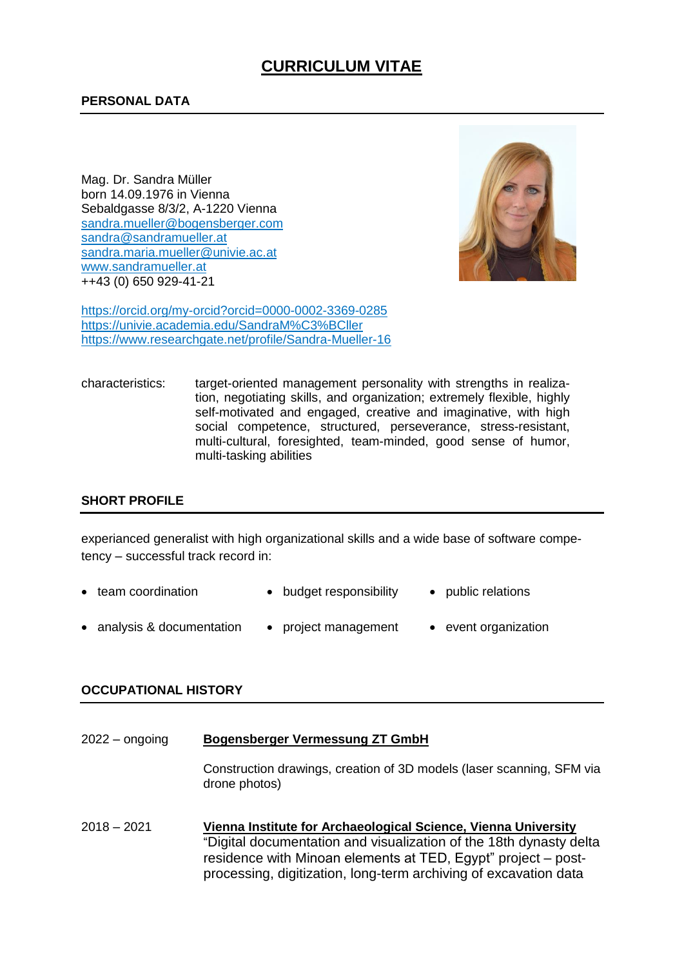# **CURRICULUM VITAE**

Mag. Dr. Sandra Müller born 14.09.1976 in Vienna Sebaldgasse 8/3/2, A-1220 Vienna [sandra.mueller@bogensberger.com](mailto:sandra.mueller@bogensberger.com) [sandra@sandramueller.at](mailto:sandra@sandramueller.at) sandra.maria.mueller@univie.ac.at www.sandramueller.at ++43 (0) 650 929-41-21



https://orcid.org/my-orcid?orcid=0000-0002-3369-0285 https://univie.academia.edu/SandraM%C3%BCller https://www.researchgate.net/profile/Sandra-Mueller-16

characteristics: target-oriented management personality with strengths in realization, negotiating skills, and organization; extremely flexible, highly self-motivated and engaged, creative and imaginative, with high social competence, structured, perseverance, stress-resistant, multi-cultural, foresighted, team-minded, good sense of humor, multi-tasking abilities

# **SHORT PROFILE**

experianced generalist with high organizational skills and a wide base of software competency – successful track record in:

- team coordination budget responsibility public relations
- analysis & documentation project management event organization

#### **OCCUPATIONAL HISTORY**

| $2022 -$ ongoing | <b>Bogensberger Vermessung ZT GmbH</b>                                                                                                                                                                                                                                    |  |  |
|------------------|---------------------------------------------------------------------------------------------------------------------------------------------------------------------------------------------------------------------------------------------------------------------------|--|--|
|                  | Construction drawings, creation of 3D models (laser scanning, SFM via<br>drone photos)                                                                                                                                                                                    |  |  |
| $2018 - 2021$    | Vienna Institute for Archaeological Science, Vienna University<br>"Digital documentation and visualization of the 18th dynasty delta<br>residence with Minoan elements at TED, Egypt" project – post-<br>processing, digitization, long-term archiving of excavation data |  |  |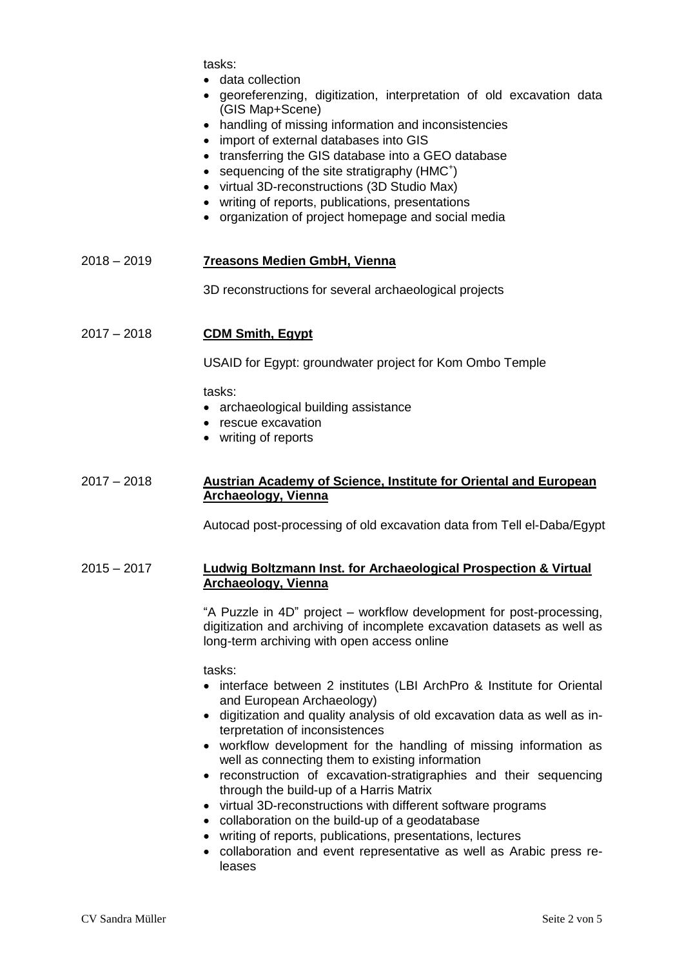tasks:

- data collection
- georeferenzing, digitization, interpretation of old excavation data (GIS Map+Scene)
- handling of missing information and inconsistencies
- import of external databases into GIS
- transferring the GIS database into a GEO database
- sequencing of the site stratigraphy (HMC<sup>+</sup>)
- virtual 3D-reconstructions (3D Studio Max)
- writing of reports, publications, presentations
- organization of project homepage and social media

#### 2018 – 2019 **7reasons Medien GmbH, Vienna**

3D reconstructions for several archaeological projects

### 2017 – 2018 **CDM Smith, Egypt**

USAID for Egypt: groundwater project for Kom Ombo Temple

tasks:

- archaeological building assistance
- rescue excavation
- writing of reports

#### 2017 – 2018 **Austrian Academy of Science, Institute for Oriental and European Archaeology, Vienna**

Autocad post-processing of old excavation data from Tell el-Daba/Egypt

#### 2015 – 2017 **Ludwig Boltzmann Inst. for Archaeological Prospection & Virtual Archaeology, Vienna**

"A Puzzle in 4D" project – workflow development for post-processing, digitization and archiving of incomplete excavation datasets as well as long-term archiving with open access online

tasks:

- interface between 2 institutes (LBI ArchPro & Institute for Oriental and European Archaeology)
- digitization and quality analysis of old excavation data as well as interpretation of inconsistences
- workflow development for the handling of missing information as well as connecting them to existing information
- reconstruction of excavation-stratigraphies and their sequencing through the build-up of a Harris Matrix
- virtual 3D-reconstructions with different software programs
- collaboration on the build-up of a geodatabase
- writing of reports, publications, presentations, lectures
- collaboration and event representative as well as Arabic press releases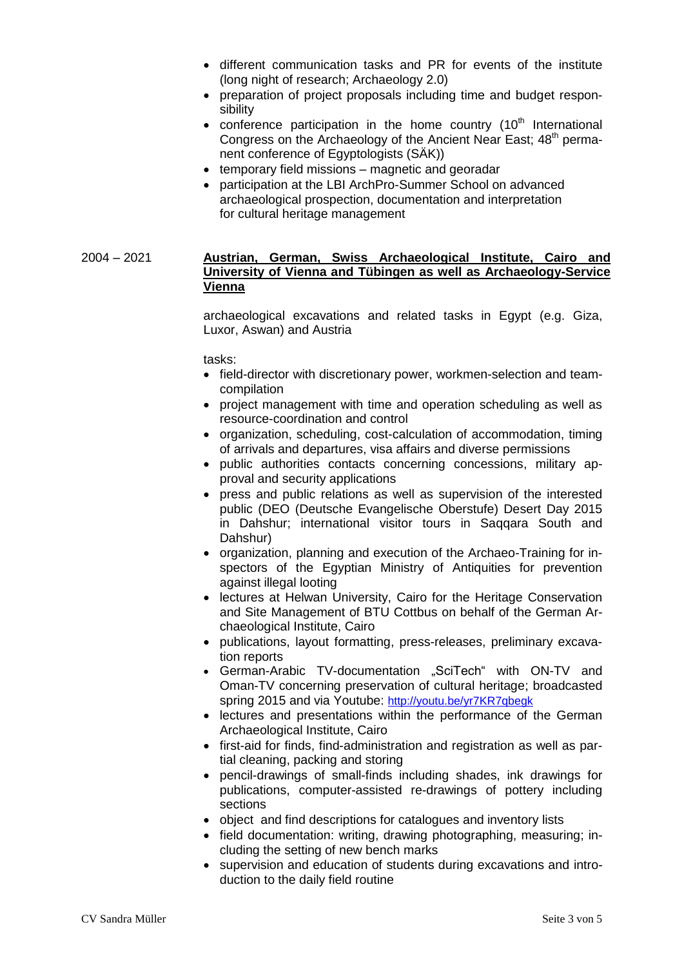- different communication tasks and PR for events of the institute (long night of research; Archaeology 2.0)
- preparation of project proposals including time and budget responsibility
- conference participation in the home country  $(10<sup>th</sup>$  International Congress on the Archaeology of the Ancient Near East; 48<sup>th</sup> permanent conference of Egyptologists (SÄK))
- temporary field missions magnetic and georadar
- participation at the LBI ArchPro-Summer School on advanced archaeological prospection, documentation and interpretation for cultural heritage management

## 2004 – 2021 **Austrian, German, Swiss Archaeological Institute, Cairo and University of Vienna and Tübingen as well as Archaeology-Service Vienna**

archaeological excavations and related tasks in Egypt (e.g. Giza, Luxor, Aswan) and Austria

#### tasks:

- field-director with discretionary power, workmen-selection and teamcompilation
- project management with time and operation scheduling as well as resource-coordination and control
- organization, scheduling, cost-calculation of accommodation, timing of arrivals and departures, visa affairs and diverse permissions
- public authorities contacts concerning concessions, military approval and security applications
- press and public relations as well as supervision of the interested public (DEO (Deutsche Evangelische Oberstufe) Desert Day 2015 in Dahshur; international visitor tours in Saqqara South and Dahshur)
- organization, planning and execution of the Archaeo-Training for inspectors of the Egyptian Ministry of Antiquities for prevention against illegal looting
- lectures at Helwan University, Cairo for the Heritage Conservation and Site Management of BTU Cottbus on behalf of the German Archaeological Institute, Cairo
- publications, layout formatting, press-releases, preliminary excavation reports
- German-Arabic TV-documentation "SciTech" with ON-TV and Oman-TV concerning preservation of cultural heritage; broadcasted spring 2015 and via Youtube: <http://youtu.be/yr7KR7qbegk>
- lectures and presentations within the performance of the German Archaeological Institute, Cairo
- first-aid for finds, find-administration and registration as well as partial cleaning, packing and storing
- pencil-drawings of small-finds including shades, ink drawings for publications, computer-assisted re-drawings of pottery including sections
- object and find descriptions for catalogues and inventory lists
- field documentation: writing, drawing photographing, measuring; including the setting of new bench marks
- supervision and education of students during excavations and introduction to the daily field routine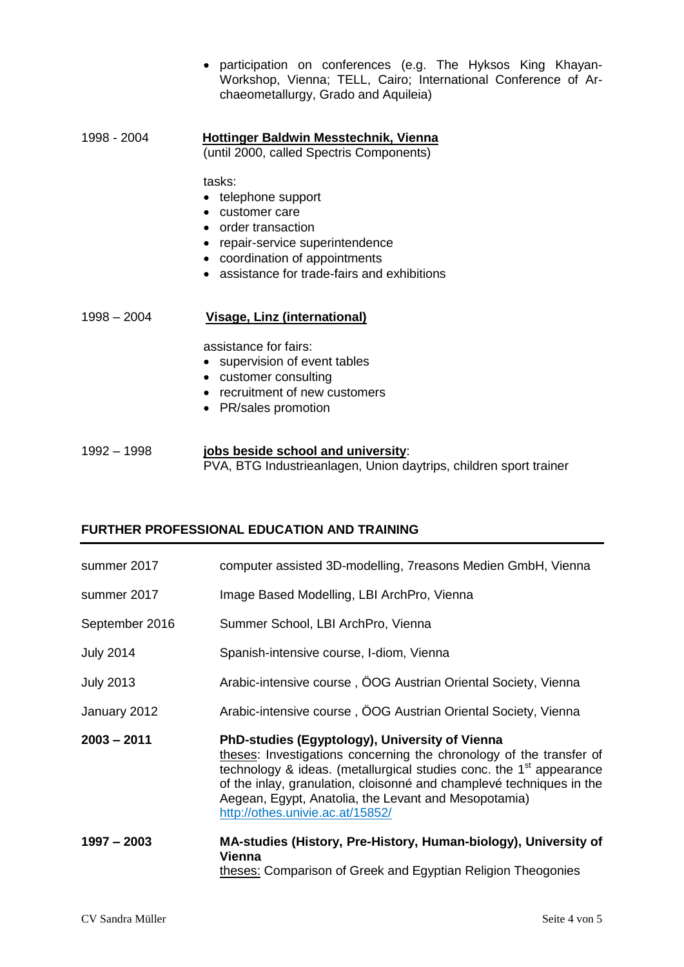- participation on conferences (e.g. The Hyksos King Khayan-Workshop, Vienna; TELL, Cairo; International Conference of Archaeometallurgy, Grado and Aquileia)
- 1998 2004 **Hottinger Baldwin Messtechnik, Vienna**  (until 2000, called Spectris Components)

tasks:

- telephone support customer care
- 
- order transaction
- repair-service superintendence
- coordination of appointments
- assistance for trade-fairs and exhibitions

1998 – 2004 **Visage, Linz (international)**

assistance for fairs:

- supervision of event tables
- customer consulting
- recruitment of new customers
- PR/sales promotion

1992 – 1998 **jobs beside school and university**: PVA, BTG Industrieanlagen, Union daytrips, children sport trainer

# **FURTHER PROFESSIONAL EDUCATION AND TRAINING**

| summer 2017      | computer assisted 3D-modelling, 7 reasons Medien GmbH, Vienna                                                                                                                                                                                                                                                                                                                |  |  |
|------------------|------------------------------------------------------------------------------------------------------------------------------------------------------------------------------------------------------------------------------------------------------------------------------------------------------------------------------------------------------------------------------|--|--|
| summer 2017      | Image Based Modelling, LBI ArchPro, Vienna                                                                                                                                                                                                                                                                                                                                   |  |  |
| September 2016   | Summer School, LBI ArchPro, Vienna                                                                                                                                                                                                                                                                                                                                           |  |  |
| <b>July 2014</b> | Spanish-intensive course, I-diom, Vienna                                                                                                                                                                                                                                                                                                                                     |  |  |
| <b>July 2013</b> | Arabic-intensive course, OOG Austrian Oriental Society, Vienna                                                                                                                                                                                                                                                                                                               |  |  |
| January 2012     | Arabic-intensive course, OOG Austrian Oriental Society, Vienna                                                                                                                                                                                                                                                                                                               |  |  |
| $2003 - 2011$    | PhD-studies (Egyptology), University of Vienna<br>theses: Investigations concerning the chronology of the transfer of<br>technology & ideas. (metallurgical studies conc. the 1 <sup>st</sup> appearance<br>of the inlay, granulation, cloisonné and champlevé techniques in the<br>Aegean, Egypt, Anatolia, the Levant and Mesopotamia)<br>http://othes.univie.ac.at/15852/ |  |  |
| $1997 - 2003$    | MA-studies (History, Pre-History, Human-biology), University of<br><b>Vienna</b><br>theses: Comparison of Greek and Egyptian Religion Theogonies                                                                                                                                                                                                                             |  |  |